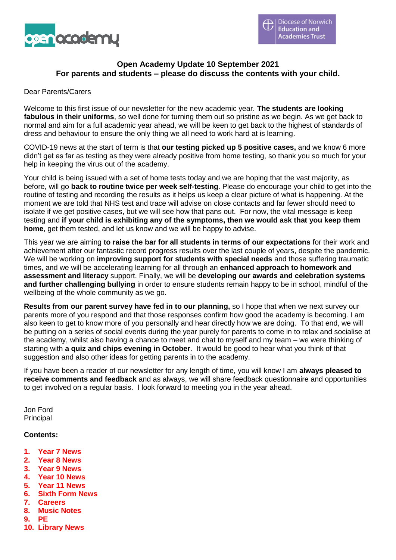

# **Open Academy Update 10 September 2021 For parents and students – please do discuss the contents with your child.**

#### Dear Parents/Carers

Welcome to this first issue of our newsletter for the new academic year. **The students are looking fabulous in their uniforms**, so well done for turning them out so pristine as we begin. As we get back to normal and aim for a full academic year ahead, we will be keen to get back to the highest of standards of dress and behaviour to ensure the only thing we all need to work hard at is learning.

COVID-19 news at the start of term is that **our testing picked up 5 positive cases,** and we know 6 more didn't get as far as testing as they were already positive from home testing, so thank you so much for your help in keeping the virus out of the academy.

Your child is being issued with a set of home tests today and we are hoping that the vast majority, as before, will go **back to routine twice per week self-testing**. Please do encourage your child to get into the routine of testing and recording the results as it helps us keep a clear picture of what is happening. At the moment we are told that NHS test and trace will advise on close contacts and far fewer should need to isolate if we get positive cases, but we will see how that pans out. For now, the vital message is keep testing and **if your child is exhibiting any of the symptoms, then we would ask that you keep them home**, get them tested, and let us know and we will be happy to advise.

This year we are aiming **to raise the bar for all students in terms of our expectations** for their work and achievement after our fantastic record progress results over the last couple of years, despite the pandemic. We will be working on **improving support for students with special needs** and those suffering traumatic times, and we will be accelerating learning for all through an **enhanced approach to homework and assessment and literacy** support. Finally, we will be **developing our awards and celebration systems and further challenging bullying** in order to ensure students remain happy to be in school, mindful of the wellbeing of the whole community as we go.

**Results from our parent survey have fed in to our planning,** so I hope that when we next survey our parents more of you respond and that those responses confirm how good the academy is becoming. I am also keen to get to know more of you personally and hear directly how we are doing. To that end, we will be putting on a series of social events during the year purely for parents to come in to relax and socialise at the academy, whilst also having a chance to meet and chat to myself and my team – we were thinking of starting with **a quiz and chips evening in October**. It would be good to hear what you think of that suggestion and also other ideas for getting parents in to the academy.

If you have been a reader of our newsletter for any length of time, you will know I am **always pleased to receive comments and feedback** and as always, we will share feedback questionnaire and opportunities to get involved on a regular basis. I look forward to meeting you in the year ahead.

Jon Ford **Principal** 

#### **Contents:**

- **1. Year 7 News**
- **2. Year 8 News**
- **3. Year 9 News**
- **4. Year 10 News**
- **5. Year 11 News**
- **6. Sixth Form News**
- **7. Careers**
- **8. Music Notes**
- **9. PE**
- **10. Library News**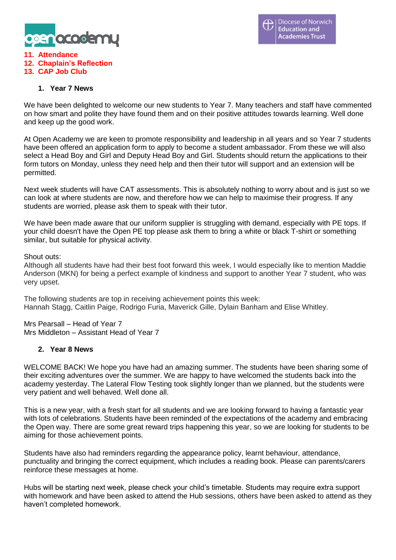

#### **11. Attendance 12. Chaplain's Reflection 13. CAP Job Club**

# **1. Year 7 News**

We have been delighted to welcome our new students to Year 7. Many teachers and staff have commented on how smart and polite they have found them and on their positive attitudes towards learning. Well done and keep up the good work.

At Open Academy we are keen to promote responsibility and leadership in all years and so Year 7 students have been offered an application form to apply to become a student ambassador. From these we will also select a Head Boy and Girl and Deputy Head Boy and Girl. Students should return the applications to their form tutors on Monday, unless they need help and then their tutor will support and an extension will be permitted.

Next week students will have CAT assessments. This is absolutely nothing to worry about and is just so we can look at where students are now, and therefore how we can help to maximise their progress. If any students are worried, please ask them to speak with their tutor.

We have been made aware that our uniform supplier is struggling with demand, especially with PE tops. If your child doesn't have the Open PE top please ask them to bring a white or black T-shirt or something similar, but suitable for physical activity.

Shout outs:

Although all students have had their best foot forward this week, I would especially like to mention Maddie Anderson (MKN) for being a perfect example of kindness and support to another Year 7 student, who was very upset.

The following students are top in receiving achievement points this week: Hannah Stagg, Caitlin Paige, Rodrigo Furia, Maverick Gille, Dylain Banham and Elise Whitley.

Mrs Pearsall – Head of Year 7 Mrs Middleton – Assistant Head of Year 7

### **2. Year 8 News**

WELCOME BACK! We hope you have had an amazing summer. The students have been sharing some of their exciting adventures over the summer. We are happy to have welcomed the students back into the academy yesterday. The Lateral Flow Testing took slightly longer than we planned, but the students were very patient and well behaved. Well done all.

This is a new year, with a fresh start for all students and we are looking forward to having a fantastic year with lots of celebrations. Students have been reminded of the expectations of the academy and embracing the Open way. There are some great reward trips happening this year, so we are looking for students to be aiming for those achievement points.

Students have also had reminders regarding the appearance policy, learnt behaviour, attendance, punctuality and bringing the correct equipment, which includes a reading book. Please can parents/carers reinforce these messages at home.

Hubs will be starting next week, please check your child's timetable. Students may require extra support with homework and have been asked to attend the Hub sessions, others have been asked to attend as they haven't completed homework.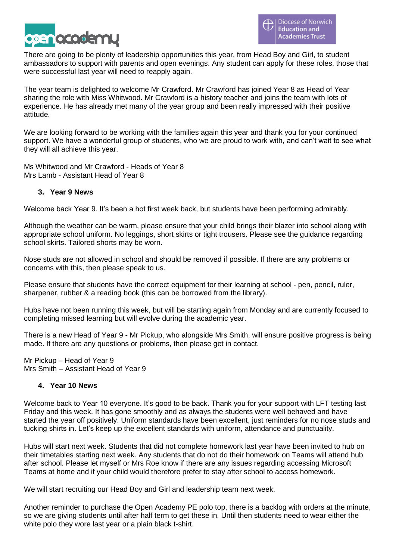

There are going to be plenty of leadership opportunities this year, from Head Boy and Girl, to student ambassadors to support with parents and open evenings. Any student can apply for these roles, those that were successful last year will need to reapply again.

The year team is delighted to welcome Mr Crawford. Mr Crawford has joined Year 8 as Head of Year sharing the role with Miss Whitwood. Mr Crawford is a history teacher and joins the team with lots of experience. He has already met many of the year group and been really impressed with their positive attitude.

We are looking forward to be working with the families again this year and thank you for your continued support. We have a wonderful group of students, who we are proud to work with, and can't wait to see what they will all achieve this year.

Ms Whitwood and Mr Crawford - Heads of Year 8 Mrs Lamb - Assistant Head of Year 8

# **3. Year 9 News**

Welcome back Year 9. It's been a hot first week back, but students have been performing admirably.

Although the weather can be warm, please ensure that your child brings their blazer into school along with appropriate school uniform. No leggings, short skirts or tight trousers. Please see the guidance regarding school skirts. Tailored shorts may be worn.

Nose studs are not allowed in school and should be removed if possible. If there are any problems or concerns with this, then please speak to us.

Please ensure that students have the correct equipment for their learning at school - pen, pencil, ruler, sharpener, rubber & a reading book (this can be borrowed from the library).

Hubs have not been running this week, but will be starting again from Monday and are currently focused to completing missed learning but will evolve during the academic year.

There is a new Head of Year 9 - Mr Pickup, who alongside Mrs Smith, will ensure positive progress is being made. If there are any questions or problems, then please get in contact.

Mr Pickup – Head of Year 9 Mrs Smith – Assistant Head of Year 9

### **4. Year 10 News**

Welcome back to Year 10 everyone. It's good to be back. Thank you for your support with LFT testing last Friday and this week. It has gone smoothly and as always the students were well behaved and have started the year off positively. Uniform standards have been excellent, just reminders for no nose studs and tucking shirts in. Let's keep up the excellent standards with uniform, attendance and punctuality.

Hubs will start next week. Students that did not complete homework last year have been invited to hub on their timetables starting next week. Any students that do not do their homework on Teams will attend hub after school. Please let myself or Mrs Roe know if there are any issues regarding accessing Microsoft Teams at home and if your child would therefore prefer to stay after school to access homework.

We will start recruiting our Head Boy and Girl and leadership team next week.

Another reminder to purchase the Open Academy PE polo top, there is a backlog with orders at the minute, so we are giving students until after half term to get these in. Until then students need to wear either the white polo they wore last year or a plain black t-shirt.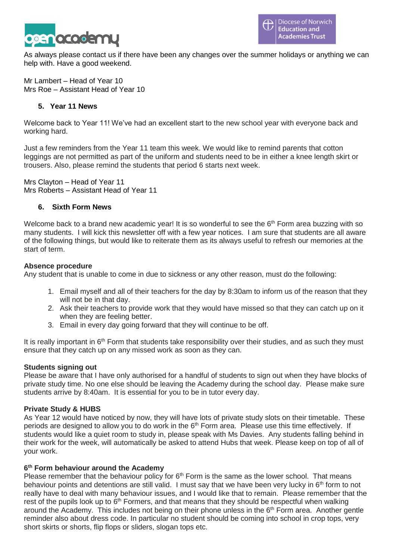

As always please contact us if there have been any changes over the summer holidays or anything we can help with. Have a good weekend.

Mr Lambert – Head of Year 10 Mrs Roe – Assistant Head of Year 10

## **5. Year 11 News**

Welcome back to Year 11! We've had an excellent start to the new school year with everyone back and working hard.

Just a few reminders from the Year 11 team this week. We would like to remind parents that cotton leggings are not permitted as part of the uniform and students need to be in either a knee length skirt or trousers. Also, please remind the students that period 6 starts next week.

Mrs Clayton – Head of Year 11 Mrs Roberts – Assistant Head of Year 11

### **6. Sixth Form News**

Welcome back to a brand new academic year! It is so wonderful to see the  $6<sup>th</sup>$  Form area buzzing with so many students. I will kick this newsletter off with a few year notices. I am sure that students are all aware of the following things, but would like to reiterate them as its always useful to refresh our memories at the start of term.

### **Absence procedure**

Any student that is unable to come in due to sickness or any other reason, must do the following:

- 1. Email myself and all of their teachers for the day by 8:30am to inform us of the reason that they will not be in that day.
- 2. Ask their teachers to provide work that they would have missed so that they can catch up on it when they are feeling better.
- 3. Email in every day going forward that they will continue to be off.

It is really important in 6<sup>th</sup> Form that students take responsibility over their studies, and as such they must ensure that they catch up on any missed work as soon as they can.

### **Students signing out**

Please be aware that I have only authorised for a handful of students to sign out when they have blocks of private study time. No one else should be leaving the Academy during the school day. Please make sure students arrive by 8:40am. It is essential for you to be in tutor every day.

### **Private Study & HUBS**

As Year 12 would have noticed by now, they will have lots of private study slots on their timetable. These periods are designed to allow you to do work in the 6<sup>th</sup> Form area. Please use this time effectively. If students would like a quiet room to study in, please speak with Ms Davies. Any students falling behind in their work for the week, will automatically be asked to attend Hubs that week. Please keep on top of all of your work.

### **6 th Form behaviour around the Academy**

Please remember that the behaviour policy for  $6<sup>th</sup>$  Form is the same as the lower school. That means behaviour points and detentions are still valid. I must say that we have been very lucky in 6<sup>th</sup> form to not really have to deal with many behaviour issues, and I would like that to remain. Please remember that the rest of the pupils look up to 6<sup>th</sup> Formers, and that means that they should be respectful when walking around the Academy. This includes not being on their phone unless in the 6<sup>th</sup> Form area. Another gentle reminder also about dress code. In particular no student should be coming into school in crop tops, very short skirts or shorts, flip flops or sliders, slogan tops etc.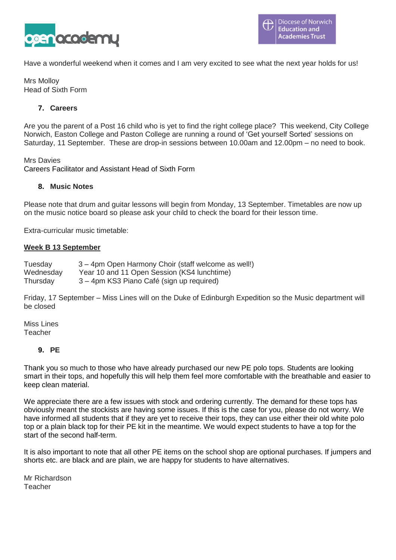

Have a wonderful weekend when it comes and I am very excited to see what the next year holds for us!

Mrs Molloy Head of Sixth Form

# **7. Careers**

Are you the parent of a Post 16 child who is yet to find the right college place? This weekend, City College Norwich, Easton College and Paston College are running a round of 'Get yourself Sorted' sessions on Saturday, 11 September. These are drop-in sessions between 10.00am and 12.00pm – no need to book.

Mrs Davies

Careers Facilitator and Assistant Head of Sixth Form

#### **8. Music Notes**

Please note that drum and guitar lessons will begin from Monday, 13 September. Timetables are now up on the music notice board so please ask your child to check the board for their lesson time.

Extra-curricular music timetable:

### **Week B 13 September**

Tuesday 3 – 4pm Open Harmony Choir (staff welcome as well!) Wednesday Year 10 and 11 Open Session (KS4 lunchtime) Thursday 3 – 4pm KS3 Piano Café (sign up required)

Friday, 17 September – Miss Lines will on the Duke of Edinburgh Expedition so the Music department will be closed

Miss Lines Teacher

#### **9. PE**

Thank you so much to those who have already purchased our new PE polo tops. Students are looking smart in their tops, and hopefully this will help them feel more comfortable with the breathable and easier to keep clean material.

We appreciate there are a few issues with stock and ordering currently. The demand for these tops has obviously meant the stockists are having some issues. If this is the case for you, please do not worry. We have informed all students that if they are yet to receive their tops, they can use either their old white polo top or a plain black top for their PE kit in the meantime. We would expect students to have a top for the start of the second half-term.

It is also important to note that all other PE items on the school shop are optional purchases. If jumpers and shorts etc. are black and are plain, we are happy for students to have alternatives.

Mr Richardson Teacher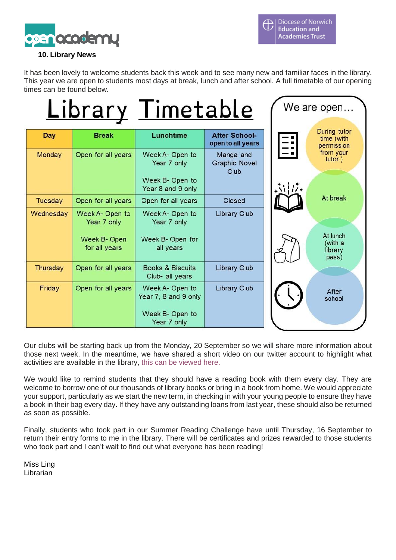

# **10. Library News**

It has been lovely to welcome students back this week and to see many new and familiar faces in the library. This year we are open to students most days at break, lunch and after school. A full timetable of our opening times can be found below.

|            |                                                                | Library Timetable                                                         |                                           | We are open   |                                          |
|------------|----------------------------------------------------------------|---------------------------------------------------------------------------|-------------------------------------------|---------------|------------------------------------------|
| <b>Day</b> | <b>Break</b>                                                   | Lunchtime                                                                 | <b>After School-</b><br>open to all years | E             | During tutor<br>time (with<br>permission |
| Monday     | Open for all years                                             | Week A- Open to<br>Year 7 only<br>Week B- Open to<br>Year 8 and 9 only    | Manga and<br><b>Graphic Novel</b><br>Club | $\mathcal{N}$ | from your<br>tutor.)                     |
| Tuesday    | Open for all years                                             | Open for all years                                                        | Closed                                    |               | At break                                 |
| Wednesday  | Week A- Open to<br>Year 7 only<br>Week B-Open<br>for all years | Week A- Open to<br>Year 7 only<br>Week B- Open for<br>all years           | Library Club                              |               | At lunch<br>(with a<br>library<br>pass)  |
| Thursday   | Open for all years                                             | <b>Books &amp; Biscuits</b><br>Club- all years                            | <b>Library Club</b>                       |               |                                          |
| Friday     | Open for all years                                             | Week A- Open to<br>Year 7, 8 and 9 only<br>Week B- Open to<br>Year 7 only | Library Club                              |               | After<br>school                          |

Our clubs will be starting back up from the Monday, 20 September so we will share more information about those next week. In the meantime, we have shared a short video on our twitter account to highlight what activities are available in the library, this can be [viewed](https://twitter.com/library_oa/status/1436233167619428352) here.

We would like to remind students that they should have a reading book with them every day. They are welcome to borrow one of our thousands of library books or bring in a book from home. We would appreciate your support, particularly as we start the new term, in checking in with your young people to ensure they have a book in their bag every day. If they have any outstanding loans from last year, these should also be returned as soon as possible.

Finally, students who took part in our Summer Reading Challenge have until Thursday, 16 September to return their entry forms to me in the library. There will be certificates and prizes rewarded to those students who took part and I can't wait to find out what everyone has been reading!

Miss Ling Librarian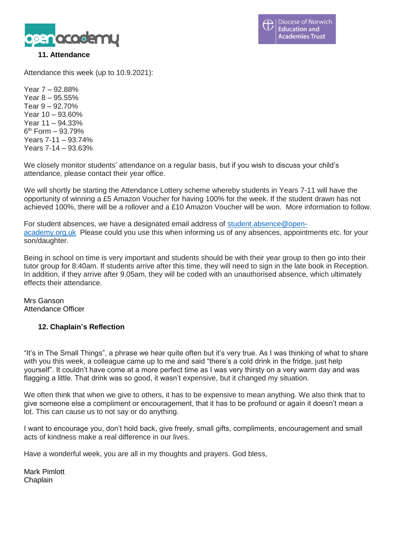

## **11. Attendance**

Attendance this week (up to 10.9.2021):

Year 7 – 92.88% Year 8 – 95.55% Tear 9 – 92.70% Year 10 – 93.60% Year 11 – 94.33% 6 th Form – 93.79% Years 7-11 – 93.74% Years 7-14 – 93.63%

We closely monitor students' attendance on a regular basis, but if you wish to discuss your child's attendance, please contact their year office.

We will shortly be starting the Attendance Lottery scheme whereby students in Years 7-11 will have the opportunity of winning a £5 Amazon Voucher for having 100% for the week. If the student drawn has not achieved 100%, there will be a rollover and a £10 Amazon Voucher will be won. More information to follow.

For student absences, we have a designated email address of [student.absence@open](mailto:student.absence@open-academy.org.uk)[academy.org.uk](mailto:student.absence@open-academy.org.uk) Please could you use this when informing us of any absences, appointments etc. for your son/daughter.

Being in school on time is very important and students should be with their year group to then go into their tutor group for 8:40am. If students arrive after this time, they will need to sign in the late book in Reception. In addition, if they arrive after 9.05am, they will be coded with an unauthorised absence, which ultimately effects their attendance.

Mrs Ganson Attendance Officer

### **12. Chaplain's Reflection**

"It's in The Small Things", a phrase we hear quite often but it's very true. As I was thinking of what to share with you this week, a colleague came up to me and said "there's a cold drink in the fridge, just help yourself". It couldn't have come at a more perfect time as I was very thirsty on a very warm day and was flagging a little. That drink was so good, it wasn't expensive, but it changed my situation.

We often think that when we give to others, it has to be expensive to mean anything. We also think that to give someone else a compliment or encouragement, that it has to be profound or again it doesn't mean a lot. This can cause us to not say or do anything.

I want to encourage you, don't hold back, give freely, small gifts, compliments, encouragement and small acts of kindness make a real difference in our lives.

Have a wonderful week, you are all in my thoughts and prayers. God bless,

Mark Pimlott Chaplain